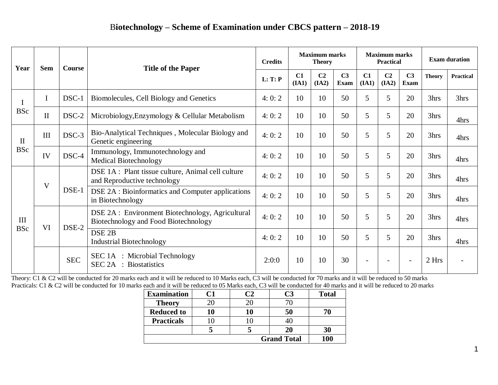| Year                       | <b>Sem</b>          | <b>Course</b> | <b>Title of the Paper</b>                                                                | <b>Credits</b> | <b>Maximum marks</b><br><b>Theory</b> |                         |                               | <b>Maximum marks</b><br><b>Practical</b> |                          |                               | <b>Exam duration</b> |                  |
|----------------------------|---------------------|---------------|------------------------------------------------------------------------------------------|----------------|---------------------------------------|-------------------------|-------------------------------|------------------------------------------|--------------------------|-------------------------------|----------------------|------------------|
|                            |                     |               |                                                                                          | L: T: P        | C1<br>(IA1)                           | C <sub>2</sub><br>(IA2) | C <sub>3</sub><br><b>Exam</b> | C1<br>(IA1)                              | C <sub>2</sub><br>(IA2)  | C <sub>3</sub><br><b>Exam</b> | <b>Theory</b>        | <b>Practical</b> |
| $\bf{I}$<br><b>BSc</b>     |                     | DSC-1         | Biomolecules, Cell Biology and Genetics                                                  | 4:0:2          | 10                                    | 10                      | 50                            | 5                                        | 5                        | 20                            | 3hrs                 | 3hrs             |
|                            | $\overline{\rm II}$ | DSC-2         | Microbiology, Enzymology & Cellular Metabolism                                           | 4:0:2          | 10                                    | 10                      | 50                            | 5                                        | 5                        | 20                            | 3hrs                 | 4hrs             |
| $\mathbf{I}$<br><b>BSc</b> | III                 | $DSC-3$       | Bio-Analytical Techniques, Molecular Biology and<br>Genetic engineering                  | 4:0:2          | 10                                    | 10                      | 50                            | 5                                        | 5                        | 20                            | 3hrs                 | 4hrs             |
|                            | IV                  | DSC-4         | Immunology, Immunotechnology and<br><b>Medical Biotechnology</b>                         | 4:0:2          | 10                                    | 10                      | 50                            | 5                                        | 5                        | 20                            | 3hrs                 | 4hrs             |
| III<br><b>BSc</b>          | V                   | DSE-1         | DSE 1A : Plant tissue culture, Animal cell culture<br>and Reproductive technology        | 4:0:2          | 10                                    | 10                      | 50                            | 5                                        | 5                        | 20                            | 3hrs                 | 4hrs             |
|                            |                     |               | DSE 2A : Bioinformatics and Computer applications<br>in Biotechnology                    | 4:0:2          | 10                                    | 10                      | 50                            | 5                                        | 5                        | 20                            | 3hrs                 | 4hrs             |
|                            | VI                  | DSE-2         | DSE 2A : Environment Biotechnology, Agricultural<br>Biotechnology and Food Biotechnology | 4:0:2          | 10                                    | 10                      | 50                            | 5                                        | 5                        | 20                            | 3hrs                 | 4hrs             |
|                            |                     |               | DSE <sub>2B</sub><br><b>Industrial Biotechnology</b>                                     | 4:0:2          | 10                                    | 10                      | 50                            | 5                                        | 5                        | 20                            | 3hrs                 | 4hrs             |
|                            |                     | <b>SEC</b>    | SEC 1A : Microbial Technology<br><b>SEC 2A</b> : Biostatistics                           | 2:0:0          | 10                                    | 10                      | 30                            |                                          | $\overline{\phantom{0}}$ |                               | 2 Hrs                |                  |

Theory: C1 & C2 will be conducted for 20 marks each and it will be reduced to 10 Marks each, C3 will be conducted for 70 marks and it will be reduced to 50 marks Practicals: C1 & C2 will be conducted for 10 marks each and it will be reduced to 05 Marks each, C3 will be conducted for 40 marks and it will be reduced to 20 marks

| <b>Examination</b> | C1 |    | C3 | <b>Total</b> |
|--------------------|----|----|----|--------------|
| <b>Theory</b>      | 20 |    |    |              |
| <b>Reduced to</b>  | 10 | 10 | 50 |              |
| <b>Practicals</b>  |    |    |    |              |
|                    |    |    | 20 | 30           |
| <b>Grand Total</b> |    |    |    | 100          |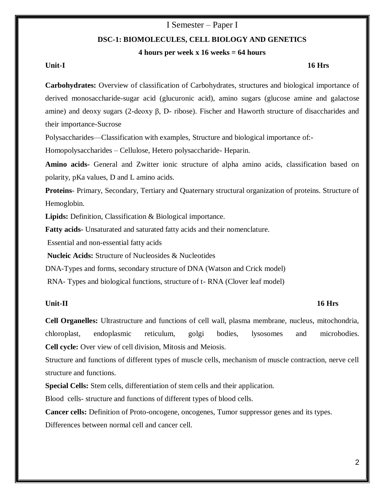## I Semester – Paper I

## **DSC-1: BIOMOLECULES, CELL BIOLOGY AND GENETICS**

## **4 hours per week x 16 weeks = 64 hours**

## **Unit-I 16 Hrs**

**Carbohydrates:** Overview of classification of Carbohydrates, structures and biological importance of derived monosaccharide-sugar acid (glucuronic acid), amino sugars (glucose amine and galactose amine) and deoxy sugars (2-deoxy β, D- ribose). Fischer and Haworth structure of disaccharides and their importance-Sucrose

Polysaccharides—Classification with examples, Structure and biological importance of:-

Homopolysaccharides – Cellulose, Hetero polysaccharide- Heparin.

**Amino acids-** General and Zwitter ionic structure of alpha amino acids, classification based on polarity, pKa values, D and L amino acids.

**Proteins**- Primary, Secondary, Tertiary and Quaternary structural organization of proteins. Structure of Hemoglobin.

**Lipids:** Definition, Classification & Biological importance.

**Fatty acids-** Unsaturated and saturated fatty acids and their nomenclature.

Essential and non-essential fatty acids

**Nucleic Acids:** Structure of Nucleosides & Nucleotides

DNA-Types and forms, secondary structure of DNA (Watson and Crick model)

RNA- Types and biological functions, structure of t- RNA (Clover leaf model)

## **Unit-II 16 Hrs**

**Cell Organelles:** Ultrastructure and functions of cell wall, plasma membrane, nucleus, mitochondria, chloroplast, endoplasmic reticulum, golgi bodies, lysosomes and microbodies. **Cell cycle:** Over view of cell division, Mitosis and Meiosis.

Structure and functions of different types of muscle cells, mechanism of muscle contraction, nerve cell structure and functions.

**Special Cells:** Stem cells, differentiation of stem cells and their application.

Blood cells- structure and functions of different types of blood cells.

**Cancer cells:** Definition of Proto-oncogene, oncogenes, Tumor suppressor genes and its types. Differences between normal cell and cancer cell.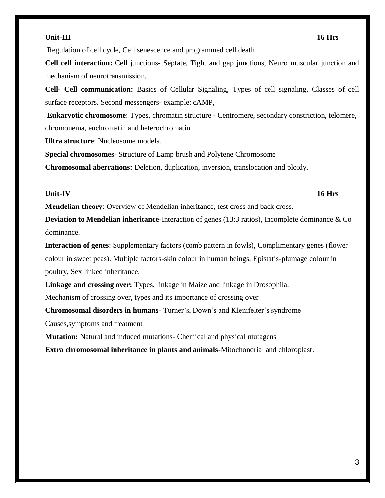### **Unit-III 16 Hrs**

Regulation of cell cycle, Cell senescence and programmed cell death

**Cell cell interaction:** Cell junctions- Septate, Tight and gap junctions, Neuro muscular junction and mechanism of neurotransmission.

**Cell- Cell communication:** Basics of Cellular Signaling, Types of cell signaling, Classes of cell surface receptors. Second messengers- example: cAMP,

**Eukaryotic chromosome**: Types, chromatin structure - Centromere, secondary constriction, telomere, chromonema, euchromatin and heterochromatin.

**Ultra structure**: Nucleosome models.

**Special chromosomes**- Structure of Lamp brush and Polytene Chromosome

**Chromosomal aberrations:** Deletion, duplication, inversion, translocation and ploidy.

### **Unit-IV 16 Hrs**

**Mendelian theory**: Overview of Mendelian inheritance, test cross and back cross.

**Deviation to Mendelian inheritance**-Interaction of genes (13:3 ratios), Incomplete dominance & Co dominance.

**Interaction of genes**: Supplementary factors (comb pattern in fowls), Complimentary genes (flower colour in sweet peas). Multiple factors-skin colour in human beings, Epistatis-plumage colour in poultry, Sex linked inheritance.

**Linkage and crossing over:** Types, linkage in Maize and linkage in Drosophila.

Mechanism of crossing over, types and its importance of crossing over

**Chromosomal disorders in humans**- Turner's, Down's and Klenifelter's syndrome –

Causes,symptoms and treatment

**Mutation:** Natural and induced mutations- Chemical and physical mutagens

**Extra chromosomal inheritance in plants and animals**-Mitochondrial and chloroplast.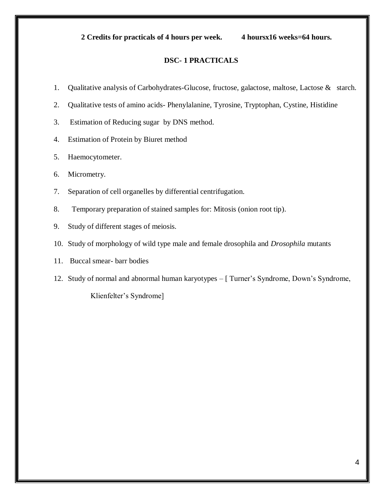## **2 Credits for practicals of 4 hours per week. 4 hoursx16 weeks=64 hours.**

## **DSC- 1 PRACTICALS**

- 1. Qualitative analysis of Carbohydrates-Glucose, fructose, galactose, maltose, Lactose & starch.
- 2. Qualitative tests of amino acids- Phenylalanine, Tyrosine, Tryptophan, Cystine, Histidine
- 3. Estimation of Reducing sugar by DNS method.
- 4. Estimation of Protein by Biuret method
- 5. Haemocytometer.
- 6. Micrometry.
- 7. Separation of cell organelles by differential centrifugation.
- 8. Temporary preparation of stained samples for: Mitosis (onion root tip).
- 9. Study of different stages of meiosis.
- 10. Study of morphology of wild type male and female drosophila and *Drosophila* mutants
- 11. Buccal smear- barr bodies
- 12. Study of normal and abnormal human karyotypes [ Turner's Syndrome, Down's Syndrome,

Klienfelter's Syndrome]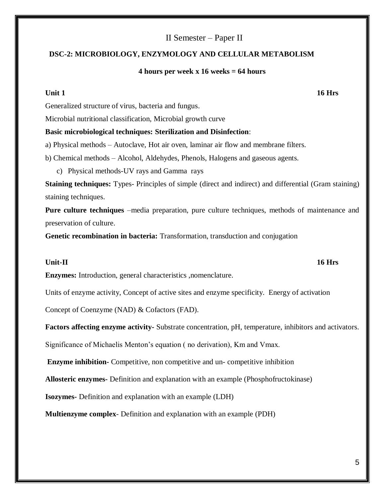## II Semester – Paper II

## **DSC-2: MICROBIOLOGY, ENZYMOLOGY AND CELLULAR METABOLISM**

### **4 hours per week x 16 weeks = 64 hours**

**Unit 1** 16 Hrs

Generalized structure of virus, bacteria and fungus.

Microbial nutritional classification, Microbial growth curve

## **Basic microbiological techniques: Sterilization and Disinfection**:

a) Physical methods – Autoclave, Hot air oven, laminar air flow and membrane filters.

b) Chemical methods – Alcohol, Aldehydes, Phenols, Halogens and gaseous agents.

c) Physical methods-UV rays and Gamma rays

**Staining techniques:** Types- Principles of simple (direct and indirect) and differential (Gram staining) staining techniques.

**Pure culture techniques** –media preparation, pure culture techniques, methods of maintenance and preservation of culture.

**Genetic recombination in bacteria:** Transformation, transduction and conjugation

### **Unit-II 16 Hrs**

**Enzymes:** Introduction, general characteristics ,nomenclature.

Units of enzyme activity, Concept of active sites and enzyme specificity. Energy of activation

Concept of Coenzyme (NAD) & Cofactors (FAD).

**Factors affecting enzyme activity-** Substrate concentration, pH, temperature, inhibitors and activators.

Significance of Michaelis Menton's equation ( no derivation), Km and Vmax.

**Enzyme inhibition-** Competitive, non competitive and un- competitive inhibition

**Allosteric enzymes-** Definition and explanation with an example (Phosphofructokinase)

**Isozymes-** Definition and explanation with an example (LDH)

**Multienzyme complex**- Definition and explanation with an example (PDH)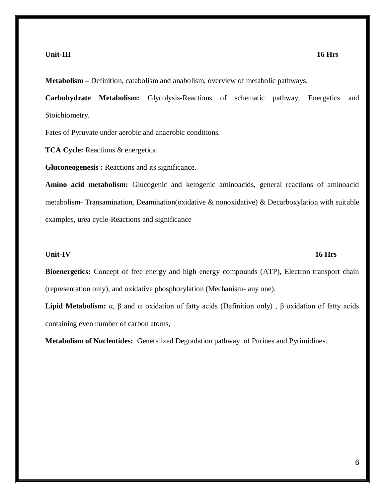### **Unit-III 16 Hrs**

**Metabolism –** Definition, catabolism and anabolism, overview of metabolic pathways.

**Carbohydrate Metabolism:** Glycolysis-Reactions of schematic pathway, Energetics and Stoichiometry.

Fates of Pyruvate under aerobic and anaerobic conditions.

**TCA Cycle:** Reactions & energetics.

**Gluconeogenesis :** Reactions and its significance.

**Amino acid metabolism:** Glucogenic and ketogenic aminoacids, general reactions of aminoacid metabolism- Transamination, Deamination(oxidative  $\&$  nonoxidative)  $\&$  Decarboxylation with suitable examples, urea cycle-Reactions and significance

### **Unit-IV 16 Hrs**

**Bioenergetics:** Concept of free energy and high energy compounds (ATP), Electron transport chain (representation only), and oxidative phosphorylation (Mechanism- any one).

**Lipid Metabolism:** α, β and ω oxidation of fatty acids (Definition only) , β oxidation of fatty acids containing even number of carbon atoms,

**Metabolism of Nucleotides:** Generalized Degradation pathway of Purines and Pyrimidines.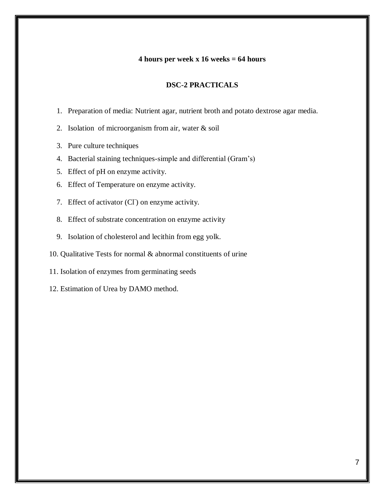## **4 hours per week x 16 weeks = 64 hours**

## **DSC-2 PRACTICALS**

- 1. Preparation of media: Nutrient agar, nutrient broth and potato dextrose agar media.
- 2. Isolation of microorganism from air, water & soil
- 3. Pure culture techniques
- 4. Bacterial staining techniques-simple and differential (Gram's)
- 5. Effect of pH on enzyme activity.
- 6. Effect of Temperature on enzyme activity.
- 7. Effect of activator (Cl<sup>-</sup>) on enzyme activity.
- 8. Effect of substrate concentration on enzyme activity
- 9. Isolation of cholesterol and lecithin from egg yolk.
- 10. Qualitative Tests for normal & abnormal constituents of urine
- 11. Isolation of enzymes from germinating seeds
- 12. Estimation of Urea by DAMO method.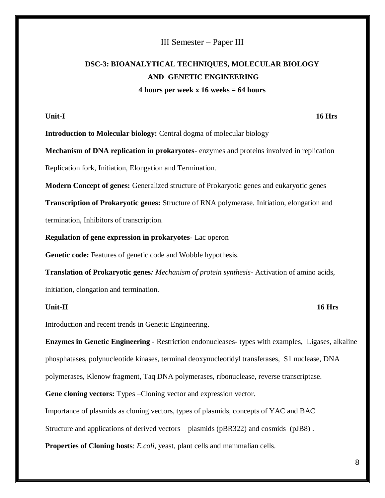## III Semester – Paper III

# **DSC-3: BIOANALYTICAL TECHNIQUES, MOLECULAR BIOLOGY AND GENETIC ENGINEERING 4 hours per week x 16 weeks = 64 hours**

**Unit-I 16 Hrs**

**Introduction to Molecular biology:** Central dogma of molecular biology

**Mechanism of DNA replication in prokaryotes**- enzymes and proteins involved in replication Replication fork, Initiation, Elongation and Termination.

**Modern Concept of genes:** Generalized structure of Prokaryotic genes and eukaryotic genes

**Transcription of Prokaryotic genes:** Structure of RNA polymerase. Initiation, elongation and termination, Inhibitors of transcription.

**Regulation of gene expression in prokaryotes**- Lac operon

**Genetic code:** Features of genetic code and Wobble hypothesis.

**Translation of Prokaryotic genes***: Mechanism of protein synthesis*- Activation of amino acids, initiation, elongation and termination.

## **Unit-II 16 Hrs**

Introduction and recent trends in Genetic Engineering.

**Enzymes in Genetic Engineering** - Restriction endonucleases- types with examples, Ligases, alkaline phosphatases, polynucleotide kinases, terminal deoxynucleotidyl transferases, S1 nuclease, DNA polymerases, Klenow fragment, Taq DNA polymerases, ribonuclease, reverse transcriptase.

Gene cloning vectors: Types –Cloning vector and expression vector.

Importance of plasmids as cloning vectors, types of plasmids, concepts of YAC and BAC

Structure and applications of derived vectors – plasmids (pBR322) and cosmids (pJB8) .

**Properties of Cloning hosts**: *E.coli*, yeast, plant cells and mammalian cells.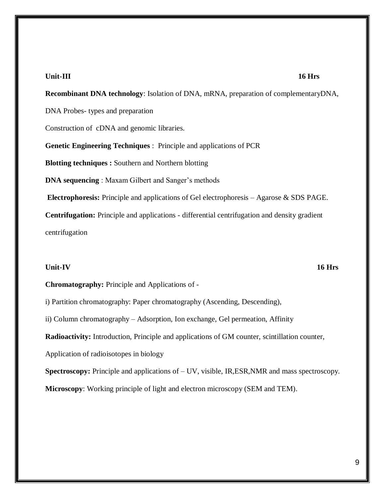### **Unit-III 16 Hrs**

**Recombinant DNA technology**: Isolation of DNA, mRNA, preparation of complementaryDNA, DNA Probes- types and preparation Construction of cDNA and genomic libraries. **Genetic Engineering Techniques** : Principle and applications of PCR **Blotting techniques :** Southern and Northern blotting **DNA sequencing** : Maxam Gilbert and Sanger's methods **Electrophoresis:** Principle and applications of Gel electrophoresis – Agarose & SDS PAGE. **Centrifugation:** Principle and applications - differential centrifugation and density gradient centrifugation

### **Unit-IV 16 Hrs**

**Chromatography:** Principle and Applications of -

i) Partition chromatography: Paper chromatography (Ascending, Descending),

ii) Column chromatography – Adsorption, Ion exchange, Gel permeation, Affinity

**Radioactivity:** Introduction, Principle and applications of GM counter, scintillation counter,

Application of radioisotopes in biology

**Spectroscopy:** Principle and applications of – UV, visible, IR,ESR,NMR and mass spectroscopy.

**Microscopy**: Working principle of light and electron microscopy (SEM and TEM).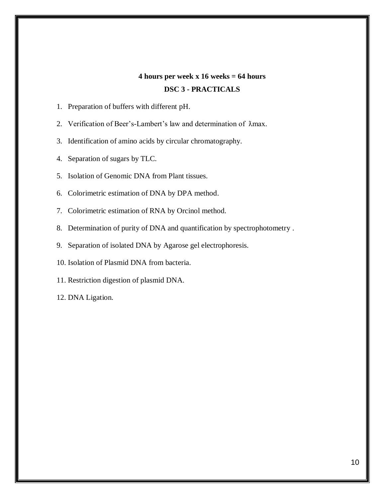# **4 hours per week x 16 weeks = 64 hours DSC 3 - PRACTICALS**

- 1. Preparation of buffers with different pH.
- 2. Verification of Beer's-Lambert's law and determination of  $\lambda$ max.
- 3. Identification of amino acids by circular chromatography.
- 4. Separation of sugars by TLC.
- 5. Isolation of Genomic DNA from Plant tissues.
- 6. Colorimetric estimation of DNA by DPA method.
- 7. Colorimetric estimation of RNA by Orcinol method.
- 8. Determination of purity of DNA and quantification by spectrophotometry .
- 9. Separation of isolated DNA by Agarose gel electrophoresis.
- 10. Isolation of Plasmid DNA from bacteria.
- 11. Restriction digestion of plasmid DNA.
- 12. DNA Ligation.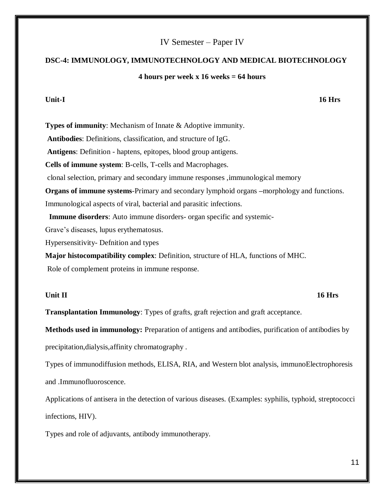## IV Semester – Paper IV

## **DSC-4: IMMUNOLOGY, IMMUNOTECHNOLOGY AND MEDICAL BIOTECHNOLOGY**

## **4 hours per week x 16 weeks = 64 hours**

**Types of immunity:** Mechanism of Innate & Adoptive immunity. **Antibodies**: Definitions, classification, and structure of IgG. **Antigens**: Definition - haptens, epitopes, blood group antigens. **Cells of immune system**: B-cells, T-cells and Macrophages. clonal selection, primary and secondary immune responses ,immunological memory **Organs of immune systems**-Primary and secondary lymphoid organs **–**morphology and functions. Immunological aspects of viral, bacterial and parasitic infections. **Immune disorders**: Auto immune disorders- organ specific and systemic-Grave's diseases, lupus erythematosus. Hypersensitivity- Defnition and types **Major histocompatibility complex**: Definition, structure of HLA, functions of MHC.

Role of complement proteins in immune response.

## **Unit II 16 Hrs**

**Transplantation Immunology**: Types of grafts, graft rejection and graft acceptance.

**Methods used in immunology:** Preparation of antigens and antibodies, purification of antibodies by precipitation,dialysis,affinity chromatography .

Types of immunodiffusion methods, ELISA, RIA, and Western blot analysis, immunoElectrophoresis and .Immunofluoroscence.

Applications of antisera in the detection of various diseases. (Examples: syphilis, typhoid, streptococci infections, HIV).

Types and role of adjuvants, antibody immunotherapy.

## **Unit-I 16 Hrs**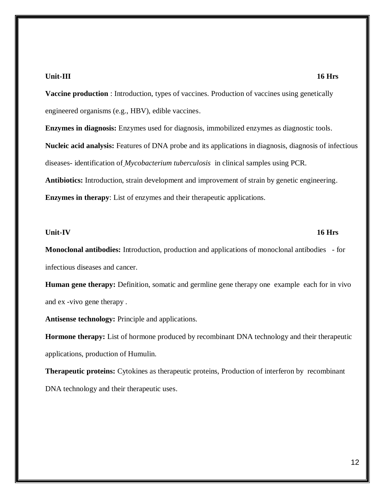### **Unit-III 16 Hrs**

**Vaccine production** : Introduction, types of vaccines. Production of vaccines using genetically engineered organisms (e.g., HBV), edible vaccines.

**Enzymes in diagnosis:** Enzymes used for diagnosis, immobilized enzymes as diagnostic tools. **Nucleic acid analysis:** Features of DNA probe and its applications in diagnosis, diagnosis of infectious diseases- identification of *Mycobacterium tuberculosis* in clinical samples using PCR. **Antibiotics:** Introduction, strain development and improvement of strain by genetic engineering. **Enzymes in therapy**: List of enzymes and their therapeutic applications.

### **Unit-IV 16 Hrs**

**Monoclonal antibodies:** Introduction, production and applications of monoclonal antibodies - for infectious diseases and cancer.

**Human gene therapy:** Definition, somatic and germline gene therapy one example each for in vivo and ex -vivo gene therapy .

**Antisense technology:** Principle and applications.

**Hormone therapy:** List of hormone produced by recombinant DNA technology and their therapeutic applications, production of Humulin.

**Therapeutic proteins:** Cytokines as therapeutic proteins, Production of interferon by recombinant DNA technology and their therapeutic uses.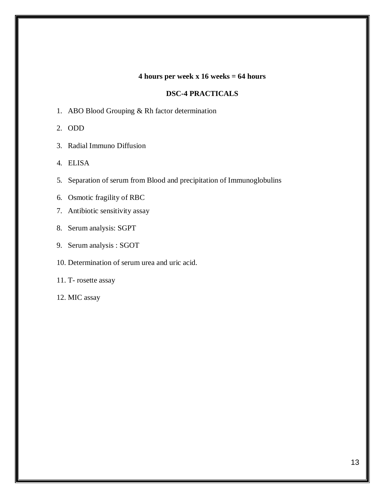## **4 hours per week x 16 weeks = 64 hours**

## **DSC-4 PRACTICALS**

1. ABO Blood Grouping & Rh factor determination

2. ODD

3. Radial Immuno Diffusion

4. ELISA

- 5. Separation of serum from Blood and precipitation of Immunoglobulins
- 6. Osmotic fragility of RBC
- 7. Antibiotic sensitivity assay
- 8. Serum analysis: SGPT
- 9. Serum analysis : SGOT
- 10. Determination of serum urea and uric acid.

11. T- rosette assay

12. MIC assay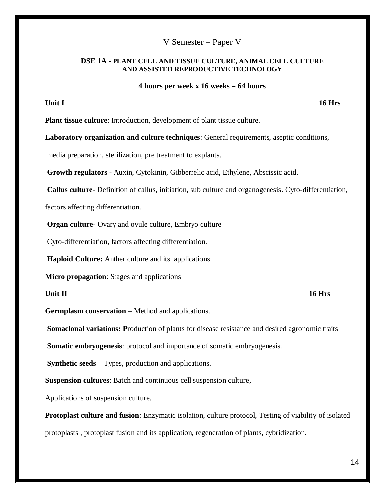## V Semester – Paper V

## **DSE 1A - PLANT CELL AND TISSUE CULTURE, ANIMAL CELL CULTURE AND ASSISTED REPRODUCTIVE TECHNOLOGY**

### **4 hours per week x 16 weeks = 64 hours**

**Unit I** 16 Hrs

**Plant tissue culture**: Introduction, development of plant tissue culture.

**Laboratory organization and culture techniques**: General requirements, aseptic conditions,

media preparation, sterilization, pre treatment to explants.

**Growth regulators** - Auxin, Cytokinin, Gibberrelic acid, Ethylene, Abscissic acid.

**Callus culture**- Definition of callus, initiation, sub culture and organogenesis. Cyto-differentiation,

factors affecting differentiation.

**Organ culture**- Ovary and ovule culture, Embryo culture

Cyto-differentiation, factors affecting differentiation.

**Haploid Culture:** Anther culture and its applications.

**Micro propagation**: Stages and applications

### **Unit II 16 Hrs**

**Germplasm conservation** – Method and applications.

**Somaclonal variations: P**roduction of plants for disease resistance and desired agronomic traits

**Somatic embryogenesis**: protocol and importance of somatic embryogenesis.

**Synthetic seeds** – Types, production and applications.

**Suspension cultures**: Batch and continuous cell suspension culture,

Applications of suspension culture.

**Protoplast culture and fusion**: Enzymatic isolation, culture protocol, Testing of viability of isolated protoplasts , protoplast fusion and its application, regeneration of plants, cybridization.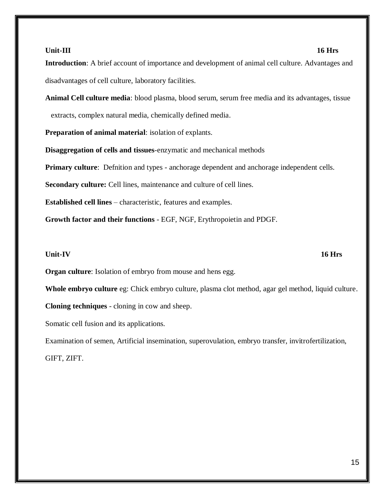## 15

## **Unit-III 16 Hrs**

**Introduction**: A brief account of importance and development of animal cell culture. Advantages and disadvantages of cell culture, laboratory facilities.

**Animal Cell culture media**: blood plasma, blood serum, serum free media and its advantages, tissue extracts, complex natural media, chemically defined media.

**Preparation of animal material**: isolation of explants.

**Disaggregation of cells and tissues**-enzymatic and mechanical methods

**Primary culture**: Definition and types - anchorage dependent and anchorage independent cells.

**Secondary culture:** Cell lines, maintenance and culture of cell lines.

**Established cell lines** – characteristic, features and examples.

**Growth factor and their functions** - EGF, NGF, Erythropoietin and PDGF.

## **Unit-IV 16 Hrs**

**Organ culture**: Isolation of embryo from mouse and hens egg.

**Whole embryo culture** eg: Chick embryo culture, plasma clot method, agar gel method, liquid culture.

**Cloning techniques** - cloning in cow and sheep.

Somatic cell fusion and its applications.

Examination of semen, Artificial insemination, superovulation, embryo transfer, invitrofertilization, GIFT, ZIFT.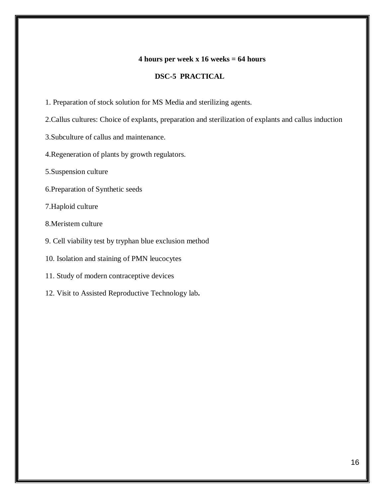## **4 hours per week x 16 weeks = 64 hours**

## **DSC-5 PRACTICAL**

- 1. Preparation of stock solution for MS Media and sterilizing agents.
- 2.Callus cultures: Choice of explants, preparation and sterilization of explants and callus induction
- 3.Subculture of callus and maintenance.
- 4.Regeneration of plants by growth regulators.
- 5.Suspension culture
- 6.Preparation of Synthetic seeds
- 7.Haploid culture
- 8.Meristem culture
- 9. Cell viability test by tryphan blue exclusion method
- 10. Isolation and staining of PMN leucocytes
- 11. Study of modern contraceptive devices
- 12. Visit to Assisted Reproductive Technology lab**.**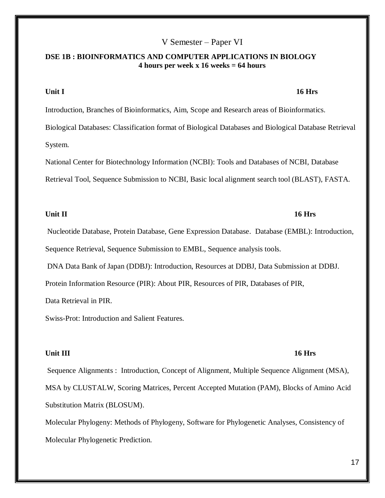## V Semester – Paper VI

## **DSE 1B : BIOINFORMATICS AND COMPUTER APPLICATIONS IN BIOLOGY 4 hours per week x 16 weeks = 64 hours**

### **Unit I 16 Hrs**

Introduction, Branches of Bioinformatics, Aim, Scope and Research areas of Bioinformatics. Biological Databases: Classification format of Biological Databases and Biological Database Retrieval System.

National Center for Biotechnology Information (NCBI): Tools and Databases of NCBI, Database Retrieval Tool, Sequence Submission to NCBI, Basic local alignment search tool (BLAST), FASTA.

## **Unit II 16 Hrs**

# Nucleotide Database, Protein Database, Gene Expression Database. Database (EMBL): Introduction, Sequence Retrieval, Sequence Submission to EMBL, Sequence analysis tools.

DNA Data Bank of Japan (DDBJ): Introduction, Resources at DDBJ, Data Submission at DDBJ.

Protein Information Resource (PIR): About PIR, Resources of PIR, Databases of PIR,

Data Retrieval in PIR.

Swiss-Prot: Introduction and Salient Features.

### **Unit III** 16 Hrs

Sequence Alignments : Introduction, Concept of Alignment, Multiple Sequence Alignment (MSA), MSA by CLUSTALW, Scoring Matrices, Percent Accepted Mutation (PAM), Blocks of Amino Acid Substitution Matrix (BLOSUM).

Molecular Phylogeny: Methods of Phylogeny, Software for Phylogenetic Analyses, Consistency of Molecular Phylogenetic Prediction.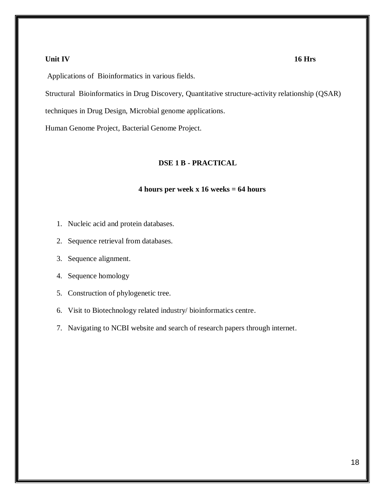### **Unit IV 16 Hrs**

Applications of Bioinformatics in various fields.

Structural Bioinformatics in Drug Discovery, Quantitative structure-activity relationship (QSAR)

techniques in Drug Design, Microbial genome applications.

Human Genome Project, Bacterial Genome Project.

## **DSE 1 B - PRACTICAL**

## **4 hours per week x 16 weeks = 64 hours**

- 1. Nucleic acid and protein databases.
- 2. Sequence retrieval from databases.
- 3. Sequence alignment.
- 4. Sequence homology
- 5. Construction of phylogenetic tree.
- 6. Visit to Biotechnology related industry/ bioinformatics centre.
- 7. Navigating to NCBI website and search of research papers through internet.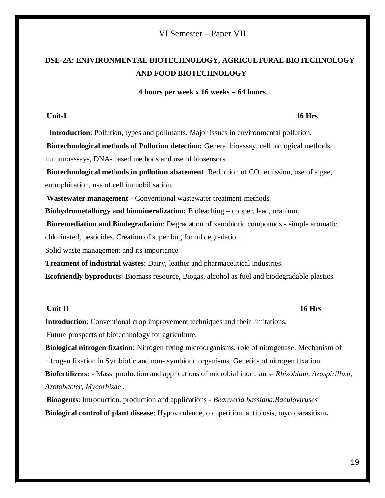## VI Semester – Paper VII

# **DSE-2A: ENIVIRONMENTAL BIOTECHNOLOGY, AGRICULTURAL BIOTECHNOLOGY AND FOOD BIOTECHNOLOGY**

## **4 hours per week x 16 weeks = 64 hours**

## **Unit-I 16 Hrs**

 **Introduction**: Pollution, types and pollutants. Major issues in environmental pollution.

**Biotechnological methods of Pollution detection:** General bioassay, cell biological methods, immunoassays, DNA- based methods and use of biosensors.

**Biotechnological methods in pollution abatement:** Reduction of CO<sub>2</sub> emission, use of algae, eutrophication, use of cell immobilisation.

**Wastewater management** - Conventional wastewater treatment methods.

**Biohydrometallurgy and biomineralization:** Bioleaching – copper, lead, uranium.

**Bioremediation and Biodegradation**: Degradation of xenobiotic compounds - simple aromatic,

chlorinated, pesticides, Creation of super bug for oil degradation

Solid waste management and its importance

**Treatment of industrial wastes**: Dairy, leather and pharmaceutical industries.

**Ecofriendly byproducts**: Biomass resource, Biogas, alcohol as fuel and biodegradable plastics.

### **Unit II** 16 Hrs

**Introduction**: Conventional crop improvement techniques and their limitations.

Future prospects of biotechnology for agriculture.

**Biological nitrogen fixation**: Nitrogen fixing microorganisms, role of nitrogenase. Mechanism of nitrogen fixation in Symbiotic and non- symbiotic organisms. Genetics of nitrogen fixation.

**Biofertilizers:** - Mass production and applications of microbial inoculants- *Rhizobium, Azospirillum, Azotobacter, Mycorhizae* ,

**Bioagents**: Introduction, production and applications - *Beauveria bassiana,Baculoviruses*  **Biological control of plant disease**: Hypovirulence, competition, antibiosis, mycoparasitism**.**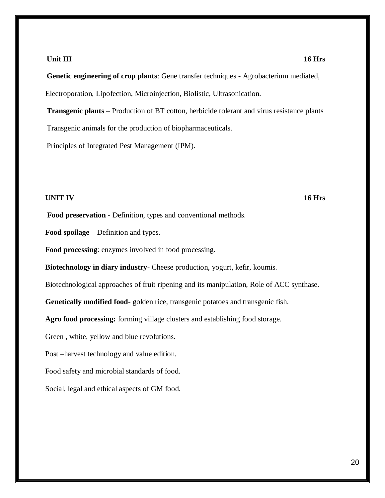### **Unit III** 16 Hrs

**Genetic engineering of crop plants**: Gene transfer techniques - Agrobacterium mediated, Electroporation, Lipofection, Microinjection, Biolistic, Ultrasonication.

**Transgenic plants** – Production of BT cotton, herbicide tolerant and virus resistance plants Transgenic animals for the production of biopharmaceuticals.

Principles of Integrated Pest Management (IPM).

## **UNIT IV 16 Hrs**

**Food preservation** - Definition, types and conventional methods.

**Food spoilage** – Definition and types.

**Food processing**: enzymes involved in food processing.

**Biotechnology in diary industry**- Cheese production, yogurt, kefir, koumis.

Biotechnological approaches of fruit ripening and its manipulation, Role of ACC synthase.

**Genetically modified food**- golden rice, transgenic potatoes and transgenic fish.

**Agro food processing:** forming village clusters and establishing food storage.

Green , white, yellow and blue revolutions.

Post –harvest technology and value edition.

Food safety and microbial standards of food.

Social, legal and ethical aspects of GM food.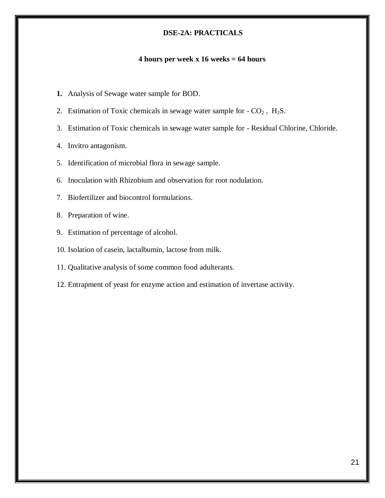## **DSE-2A: PRACTICALS**

## **4 hours per week x 16 weeks = 64 hours**

- **1.** Analysis of Sewage water sample for BOD.
- 2. Estimation of Toxic chemicals in sewage water sample for  $-CO<sub>2</sub>$ , H<sub>2</sub>S.
- 3. Estimation of Toxic chemicals in sewage water sample for Residual Chlorine, Chloride.
- 4. Invitro antagonism.
- 5. Identification of microbial flora in sewage sample.
- 6. Inoculation with Rhizobium and observation for root nodulation.
- 7. Biofertilizer and biocontrol formulations.
- 8. Preparation of wine.
- 9. Estimation of percentage of alcohol.
- 10. Isolation of casein, lactalbumin, lactose from milk.
- 11. Qualitative analysis of some common food adulterants.
- 12. Entrapment of yeast for enzyme action and estimation of invertase activity.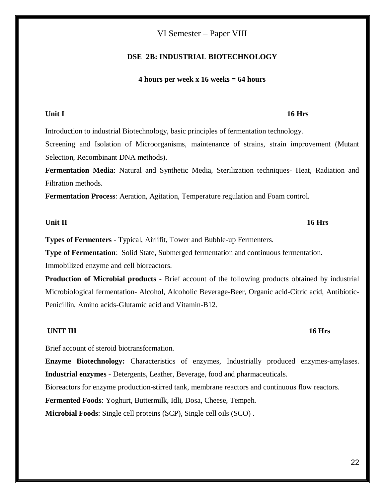## VI Semester – Paper VIII

## **DSE 2B: INDUSTRIAL BIOTECHNOLOGY**

## **4 hours per week x 16 weeks = 64 hours**

## **Unit I 16 Hrs**

Introduction to industrial Biotechnology, basic principles of fermentation technology. Screening and Isolation of Microorganisms, maintenance of strains, strain improvement (Mutant Selection, Recombinant DNA methods).

**Fermentation Media**: Natural and Synthetic Media, Sterilization techniques- Heat, Radiation and Filtration methods.

**Fermentation Process**: Aeration, Agitation, Temperature regulation and Foam control.

## **Unit II 16 Hrs**

**Types of Fermenters** - Typical, Airlifit, Tower and Bubble-up Fermenters.

**Type of Fermentation**: Solid State, Submerged fermentation and continuous fermentation. Immobilized enzyme and cell bioreactors.

**Production of Microbial products** - Brief account of the following products obtained by industrial Microbiological fermentation- Alcohol, Alcoholic Beverage-Beer, Organic acid-Citric acid, Antibiotic-Penicillin, Amino acids-Glutamic acid and Vitamin-B12.

## **UNIT III** 16 Hrs

Brief account of steroid biotransformation.

**Enzyme Biotechnology:** Characteristics of enzymes, Industrially produced enzymes-amylases. **Industrial enzymes** - Detergents, Leather, Beverage, food and pharmaceuticals.

Bioreactors for enzyme production-stirred tank, membrane reactors and continuous flow reactors.

**Fermented Foods**: Yoghurt, Buttermilk, Idli, Dosa, Cheese, Tempeh.

**Microbial Foods**: Single cell proteins (SCP), Single cell oils (SCO) .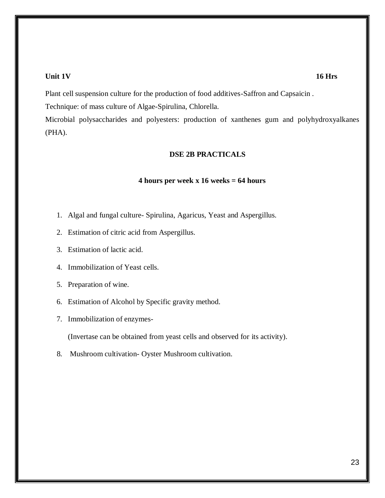## **Unit 1V 16 Hrs**

Plant cell suspension culture for the production of food additives-Saffron and Capsaicin .

Technique: of mass culture of Algae-Spirulina, Chlorella.

Microbial polysaccharides and polyesters: production of xanthenes gum and polyhydroxyalkanes (PHA).

## **DSE 2B PRACTICALS**

### **4 hours per week x 16 weeks = 64 hours**

- 1. Algal and fungal culture- Spirulina, Agaricus, Yeast and Aspergillus.
- 2. Estimation of citric acid from Aspergillus.
- 3. Estimation of lactic acid.
- 4. Immobilization of Yeast cells.
- 5. Preparation of wine.
- 6. Estimation of Alcohol by Specific gravity method.
- 7. Immobilization of enzymes-

(Invertase can be obtained from yeast cells and observed for its activity).

8. Mushroom cultivation- Oyster Mushroom cultivation.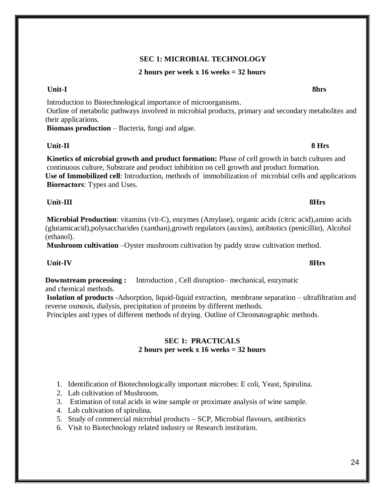# **SEC 1: MICROBIAL TECHNOLOGY**

## **2 hours per week x 16 weeks = 32 hours**

# **Unit-I 8hrs**

Introduction to Biotechnological importance of microorganisms. Outline of metabolic pathways involved in microbial products, primary and secondary metabolites and their applications.

**Biomass production** – Bacteria, fungi and algae.

# **Unit-II 8 Hrs**

**Kinetics of microbial growth and product formation:** Phase of cell growth in batch cultures and continuous culture, Substrate and product inhibition on cell growth and product formation. **Use of Immobilized cell**: Introduction, methods of immobilization of microbial cells and applications **Bioreactors**: Types and Uses.

## **Unit-III 8Hrs**

**Microbial Production**: vitamins (vit-C), enzymes (Amylase), organic acids (citric acid),amino acids (glutamicacid),polysaccharides (xanthan),growth regulators (auxins), antibiotics (penicillin), Alcohol (ethanol).

**Mushroom cultivation** –Oyster mushroom cultivation by paddy straw cultivation method.

## **Unit-IV 8Hrs**

**Downstream processing :** Introduction, Cell disruption– mechanical, enzymatic and chemical methods.

**Isolation of products -**Adsorption, liquid-liquid extraction, membrane separation – ultrafiltration and reverse osmosis, dialysis, precipitation of proteins by different methods.

Principles and types of different methods of drying. Outline of Chromatographic methods.

## **SEC 1: PRACTICALS 2 hours per week x 16 weeks = 32 hours**

- 1. Identification of Biotechnologically important microbes: E coli, Yeast, Spirulina.
- 2. Lab cultivation of Mushroom.
- 3. Estimation of total acids in wine sample or proximate analysis of wine sample.
- 4. Lab cultivation of spirulina.
- 5. Study of commercial microbial products SCP, Microbial flavours, antibiotics
- 6. Visit to Biotechnology related industry or Research institution.